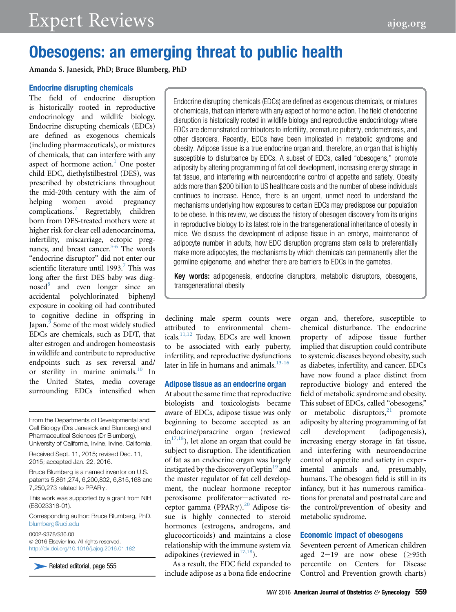# Obesogens: an emerging threat to public health

Amanda S. Janesick, PhD; Bruce Blumberg, PhD

## Endocrine disrupting chemicals

The field of endocrine disruption is historically rooted in reproductive endocrinology and wildlife biology. Endocrine disrupting chemicals (EDCs) are defined as exogenous chemicals (including pharmaceuticals), or mixtures of chemicals, that can interfere with any aspect of hormone action.<sup>[1](#page-4-0)</sup> One poster child EDC, diethylstilbestrol (DES), was prescribed by obstetricians throughout the mid-20th century with the aim of helping women avoid pregnancy complications.<sup>2</sup> Regrettably, children born from DES-treated mothers were at higher risk for clear cell adenocarcinoma, infertility, miscarriage, ectopic pregnancy, and breast cancer. $3-6$  The words "endocrine disruptor" did not enter our scientific literature until 1993.<sup>7</sup> This was long after the first DES baby was diagnosed<sup>8</sup> and even longer since an accidental polychlorinated biphenyl exposure in cooking oil had contributed to cognitive decline in offspring in Japan.<sup>9</sup> Some of the most widely studied EDCs are chemicals, such as DDT, that alter estrogen and androgen homeostasis in wildlife and contribute to reproductive endpoints such as sex reversal and/ or sterility in marine animals.<sup>10</sup> In the United States, media coverage surrounding EDCs intensified when

From the Departments of Developmental and Cell Biology (Drs Janesick and Blumberg) and Pharmaceutical Sciences (Dr Blumberg), University of California, Irvine, Irvine, California.

Received Sept. 11, 2015; revised Dec. 11, 2015; accepted Jan. 22, 2016.

Bruce Blumberg is a named inventor on U.S. patents 5,861,274, 6,200,802, 6,815,168 and 7,250,273 related to PPARg.

This work was supported by a grant from NIH (ES023316-01).

Corresponding author: Bruce Blumberg, PhD. [blumberg@uci.edu](mailto:blumberg@uci.edu)

0002-9378/\$36.00  $@$  2016 Elsevier Inc. All rights reserved. <http://dx.doi.org/10.1016/j.ajog.2016.01.182>

Related editorial, page 555

Endocrine disrupting chemicals (EDCs) are defined as exogenous chemicals, or mixtures of chemicals, that can interfere with any aspect of hormone action. The field of endocrine disruption is historically rooted in wildlife biology and reproductive endocrinology where EDCs are demonstrated contributors to infertility, premature puberty, endometriosis, and other disorders. Recently, EDCs have been implicated in metabolic syndrome and obesity. Adipose tissue is a true endocrine organ and, therefore, an organ that is highly susceptible to disturbance by EDCs. A subset of EDCs, called "obesogens," promote adiposity by altering programming of fat cell development, increasing energy storage in fat tissue, and interfering with neuroendocrine control of appetite and satiety. Obesity adds more than \$200 billion to US healthcare costs and the number of obese individuals continues to increase. Hence, there is an urgent, unmet need to understand the mechanisms underlying how exposures to certain EDCs may predispose our population to be obese. In this review, we discuss the history of obesogen discovery from its origins in reproductive biology to its latest role in the transgenerational inheritance of obesity in mice. We discuss the development of adipose tissue in an embryo, maintenance of adipocyte number in adults, how EDC disruption programs stem cells to preferentially make more adipocytes, the mechanisms by which chemicals can permanently alter the germline epigenome, and whether there are barriers to EDCs in the gametes.

Key words: adipogenesis, endocrine disruptors, metabolic disruptors, obesogens, transgenerational obesity

declining male sperm counts were attributed to environmental chemicals[.11,12](#page-4-0) Today, EDCs are well known to be associated with early puberty, infertility, and reproductive dysfunctions later in life in humans and animals. $13-16$ 

### Adipose tissue as an endocrine organ

At about the same time that reproductive biologists and toxicologists became aware of EDCs, adipose tissue was only beginning to become accepted as an endocrine/paracrine organ (reviewed  $in$ <sup>[17,18](#page-4-0)</sup>), let alone an organ that could be subject to disruption. The identification of fat as an endocrine organ was largely instigated by the discovery of leptin<sup>[19](#page-4-0)</sup> and the master regulator of fat cell development, the nuclear hormone receptor peroxisome proliferator-activated receptor gamma (PPAR $\gamma$ ).<sup>[20](#page-4-0)</sup> Adipose tissue is highly connected to steroid hormones (estrogens, androgens, and glucocorticoids) and maintains a close relationship with the immune system via adipokines (reviewed in $17,18$ ).

As a result, the EDC field expanded to include adipose as a bona fide endocrine organ and, therefore, susceptible to chemical disturbance. The endocrine property of adipose tissue further implied that disruption could contribute to systemic diseases beyond obesity, such as diabetes, infertility, and cancer. EDCs have now found a place distinct from reproductive biology and entered the field of metabolic syndrome and obesity. This subset of EDCs, called "obesogens," or metabolic disruptors, $21$  promote adiposity by altering programming of fat cell development (adipogenesis), increasing energy storage in fat tissue, and interfering with neuroendocrine control of appetite and satiety in experimental animals and, presumably, humans. The obesogen field is still in its infancy, but it has numerous ramifications for prenatal and postnatal care and the control/prevention of obesity and metabolic syndrome.

### Economic impact of obesogens

Seventeen percent of American children aged  $2-19$  are now obese ( $>95th$ ) percentile on Centers for Disease Control and Prevention growth charts)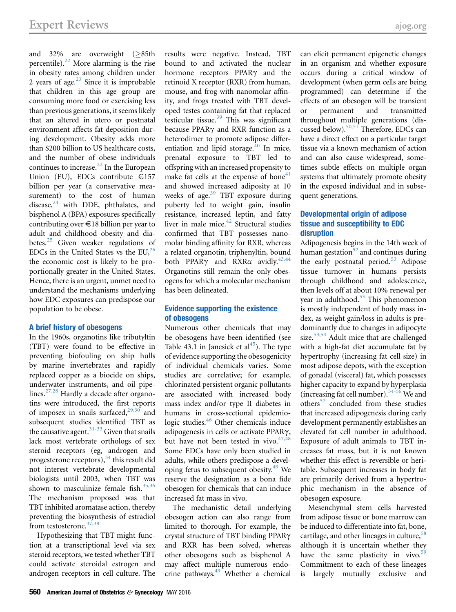and 32% are overweight  $(≥85th)$ percentile).<sup>[22](#page-4-0)</sup> More alarming is the rise in obesity rates among children under 2 years of age. $2<sup>3</sup>$  Since it is improbable that children in this age group are consuming more food or exercising less than previous generations, it seems likely that an altered in utero or postnatal environment affects fat deposition during development. Obesity adds more than \$200 billion to US healthcare costs, and the number of obese individuals continues to increase. $^{22}$  $^{22}$  $^{22}$  In the European Union (EU), EDCs contribute  $\in$ 157 billion per year (a conservative measurement) to the cost of human disease, $^{24}$  $^{24}$  $^{24}$  with DDE, phthalates, and bisphenol A (BPA) exposures specifically contributing over  $\epsilon$ 18 billion per year to adult and childhood obesity and diabetes. $25$  Given weaker regulations of EDCs in the United States vs the EU, $^{26}$  $^{26}$  $^{26}$ the economic cost is likely to be proportionally greater in the United States. Hence, there is an urgent, unmet need to understand the mechanisms underlying how EDC exposures can predispose our population to be obese.

#### A brief history of obesogens

In the 1960s, organotins like tributyltin (TBT) were found to be effective in preventing biofouling on ship hulls by marine invertebrates and rapidly replaced copper as a biocide on ships, underwater instruments, and oil pipe-lines.<sup>[27,28](#page-4-0)</sup> Hardly a decade after organotins were introduced, the first reports of imposex in snails surfaced, $29,30$  and subsequent studies identified TBT as the causative agent. $31-33$  Given that snails lack most vertebrate orthologs of sex steroid receptors (eg, androgen and progesterone receptors),  $34$  this result did not interest vertebrate developmental biologists until 2003, when TBT was shown to masculinize female fish. $35,36$ The mechanism proposed was that TBT inhibited aromatase action, thereby preventing the biosynthesis of estradiol from testosterone. $37,38$ 

Hypothesizing that TBT might function at a transcriptional level via sex steroid receptors, we tested whether TBT could activate steroidal estrogen and androgen receptors in cell culture. The results were negative. Instead, TBT bound to and activated the nuclear hormone receptors PPAR $\gamma$  and the retinoid X receptor (RXR) from human, mouse, and frog with nanomolar affinity, and frogs treated with TBT developed testes containing fat that replaced testicular tissue. $39$  This was significant because PPAR $\gamma$  and RXR function as a heterodimer to promote adipose differentiation and lipid storage. $40$  In mice, prenatal exposure to TBT led to offspring with an increased propensity to make fat cells at the expense of bone<sup>41</sup> and showed increased adiposity at 10 weeks of age.<sup>[39](#page-5-0)</sup> TBT exposure during puberty led to weight gain, insulin resistance, increased leptin, and fatty liver in male mice.<sup>[42](#page-5-0)</sup> Structural studies confirmed that TBT possesses nanomolar binding affinity for RXR, whereas a related organotin, triphenyltin, bound both PPAR $\gamma$  and RXR $\alpha$  avidly.<sup>43,44</sup> Organotins still remain the only obesogens for which a molecular mechanism has been delineated.

### Evidence supporting the existence of obesogens

Numerous other chemicals that may be obesogens have been identified (see Table 43.1 in Janesick et  $al<sup>45</sup>$ ). The type of evidence supporting the obesogenicity of individual chemicals varies. Some studies are correlative; for example, chlorinated persistent organic pollutants are associated with increased body mass index and/or type II diabetes in humans in cross-sectional epidemio-logic studies.<sup>[46](#page-5-0)</sup> Other chemicals induce adipogenesis in cells or activate PPARg, but have not been tested in vivo. $47,48$ Some EDCs have only been studied in adults, while others predispose a devel-oping fetus to subsequent obesity.<sup>[49](#page-5-0)</sup> We reserve the designation as a bona fide obesogen for chemicals that can induce increased fat mass in vivo.

The mechanistic detail underlying obesogen action can also range from limited to thorough. For example, the crystal structure of TBT binding PPARg and RXR has been solved, whereas other obesogens such as bisphenol A may affect multiple numerous endocrine pathways[.49](#page-5-0) Whether a chemical

can elicit permanent epigenetic changes in an organism and whether exposure occurs during a critical window of development (when germ cells are being programmed) can determine if the effects of an obesogen will be transient or permanent and transmitted throughout multiple generations (discussed below). $50,51$  Therefore, EDCs can have a direct effect on a particular target tissue via a known mechanism of action and can also cause widespread, sometimes subtle effects on multiple organ systems that ultimately promote obesity in the exposed individual and in subsequent generations.

## Developmental origin of adipose tissue and susceptibility to EDC disruption

Adipogenesis begins in the 14th week of human gestation $52$  and continues during the early postnatal period.<sup>[53](#page-5-0)</sup> Adipose tissue turnover in humans persists through childhood and adolescence, then levels off at about 10% renewal per year in adulthood.<sup>53</sup> This phenomenon is mostly independent of body mass index, as weight gain/loss in adults is predominantly due to changes in adipocyte size.<sup>[53,54](#page-5-0)</sup> Adult mice that are challenged with a high-fat diet accumulate fat by hypertrophy (increasing fat cell size) in most adipose depots, with the exception of gonadal (visceral) fat, which possesses higher capacity to expand by hyperplasia (increasing fat cell number).[54-56](#page-5-0) We and others<sup>[57](#page-5-0)</sup> concluded from these studies that increased adipogenesis during early development permanently establishes an elevated fat cell number in adulthood. Exposure of adult animals to TBT increases fat mass, but it is not known whether this effect is reversible or heritable. Subsequent increases in body fat are primarily derived from a hypertrophic mechanism in the absence of obesogen exposure.

Mesenchymal stem cells harvested from adipose tissue or bone marrow can be induced to differentiate into fat, bone, cartilage, and other lineages in culture,  $58$ although it is uncertain whether they have the same plasticity in vivo. $5^{\circ}$ Commitment to each of these lineages is largely mutually exclusive and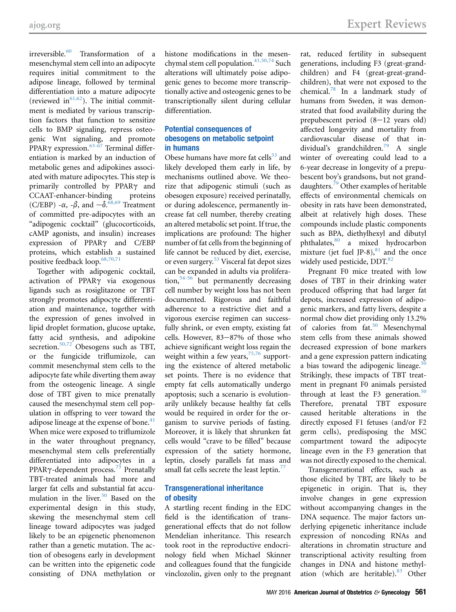irreversible.<sup>[60](#page-5-0)</sup> Transformation of a mesenchymal stem cell into an adipocyte requires initial commitment to the adipose lineage, followed by terminal differentiation into a mature adipocyte (reviewed in $61,62$ ). The initial commitment is mediated by various transcription factors that function to sensitize cells to BMP signaling, repress osteogenic Wnt signaling, and promote PPAR $\gamma$  expression.<sup>[63-67](#page-5-0)</sup> Terminal differentiation is marked by an induction of metabolic genes and adipokines associated with mature adipocytes. This step is primarily controlled by PPAR $\gamma$  and CCAAT-enhancer-binding proteins (C/EBP) - $\alpha$ , - $\beta$ , and  $-\delta$ .  $\frac{68,69}{ }$  $\frac{68,69}{ }$  $\frac{68,69}{ }$  Treatment of committed pre-adipocytes with an "adipogenic cocktail" (glucocorticoids, cAMP agonists, and insulin) increases expression of PPAR $\gamma$  and C/EBP proteins, which establish a sustained positive feedback loop.  $68,70,71$ 

Together with adipogenic cocktail, activation of PPAR $\gamma$  via exogenous ligands such as rosiglitazone or TBT strongly promotes adipocyte differentiation and maintenance, together with the expression of genes involved in lipid droplet formation, glucose uptake, fatty acid synthesis, and adipokine secretion.<sup>[50,72](#page-5-0)</sup> Obesogens such as TBT, or the fungicide triflumizole, can commit mesenchymal stem cells to the adipocyte fate while diverting them away from the osteogenic lineage. A single dose of TBT given to mice prenatally caused the mesenchymal stem cell population in offspring to veer toward the adipose lineage at the expense of bone. $41$ When mice were exposed to triflumizole in the water throughout pregnancy, mesenchymal stem cells preferentially differentiated into adipocytes in a PPAR $\gamma$ -dependent process.<sup>[73](#page-5-0)</sup> Prenatally TBT-treated animals had more and larger fat cells and substantial fat accumulation in the liver. $50$  Based on the experimental design in this study, skewing the mesenchymal stem cell lineage toward adipocytes was judged likely to be an epigenetic phenomenon rather than a genetic mutation. The action of obesogens early in development can be written into the epigenetic code consisting of DNA methylation or

histone modifications in the mesen-chymal stem cell population.<sup>[41,50,74](#page-5-0)</sup> Such alterations will ultimately poise adipogenic genes to become more transcriptionally active and osteogenic genes to be transcriptionally silent during cellular differentiation.

## Potential consequences of obesogens on metabolic setpoint in humans

Obese humans have more fat cells $53$  and likely developed them early in life, by mechanisms outlined above. We theorize that adipogenic stimuli (such as obesogen exposure) received perinatally, or during adolescence, permanently increase fat cell number, thereby creating an altered metabolic set point. If true, the implications are profound: The higher number of fat cells from the beginning of life cannot be reduced by diet, exercise, or even surgery.[53](#page-5-0) Visceral fat depot sizes can be expanded in adults via proliferation,  $54-56$  but permanently decreasing cell number by weight loss has not been documented. Rigorous and faithful adherence to a restrictive diet and a vigorous exercise regimen can successfully shrink, or even empty, existing fat cells. However,  $83-87%$  of those who achieve significant weight loss regain the weight within a few years, $75,76$  supporting the existence of altered metabolic set points. There is no evidence that empty fat cells automatically undergo apoptosis; such a scenario is evolutionarily unlikely because healthy fat cells would be required in order for the organism to survive periods of fasting. Moreover, it is likely that shrunken fat cells would "crave to be filled" because expression of the satiety hormone, leptin, closely parallels fat mass and small fat cells secrete the least leptin.<sup>[77](#page-5-0)</sup>

## Transgenerational inheritance of obesity

A startling recent finding in the EDC field is the identification of transgenerational effects that do not follow Mendelian inheritance. This research took root in the reproductive endocrinology field when Michael Skinner and colleagues found that the fungicide vinclozolin, given only to the pregnant

rat, reduced fertility in subsequent generations, including F3 (great-grandchildren) and F4 (great-great-grandchildren), that were not exposed to the chemical.[78](#page-5-0) In a landmark study of humans from Sweden, it was demonstrated that food availability during the prepubescent period  $(8-12 \text{ years old})$ affected longevity and mortality from cardiovascular disease of that in-dividual's grandchildren.<sup>[79](#page-5-0)</sup> A single winter of overeating could lead to a 6-year decrease in longevity of a prepubescent boy's grandsons, but not granddaughters.[79](#page-5-0) Other examples of heritable effects of environmental chemicals on obesity in rats have been demonstrated, albeit at relatively high doses. These compounds include plastic components such as BPA, diethylhexyl and dibutyl phthalates,[80](#page-5-0) a mixed hydrocarbon mixture (jet fuel JP-8), $81$  and the once widely used pesticide, DDT.<sup>[82](#page-5-0)</sup>

Pregnant F0 mice treated with low doses of TBT in their drinking water produced offspring that had larger fat depots, increased expression of adipogenic markers, and fatty livers, despite a normal chow diet providing only 13.2% of calories from fat.<sup>50</sup> Mesenchymal stem cells from these animals showed decreased expression of bone markers and a gene expression pattern indicating a bias toward the adipogenic lineage. $50$ Strikingly, these impacts of TBT treatment in pregnant F0 animals persisted through at least the F3 generation. $50$ Therefore, prenatal TBT exposure caused heritable alterations in the directly exposed F1 fetuses (and/or F2 germ cells), predisposing the MSC compartment toward the adipocyte lineage even in the F3 generation that was not directly exposed to the chemical.

Transgenerational effects, such as those elicited by TBT, are likely to be epigenetic in origin. That is, they involve changes in gene expression without accompanying changes in the DNA sequence. The major factors underlying epigenetic inheritance include expression of noncoding RNAs and alterations in chromatin structure and transcriptional activity resulting from changes in DNA and histone methylation (which are heritable). $83$  Other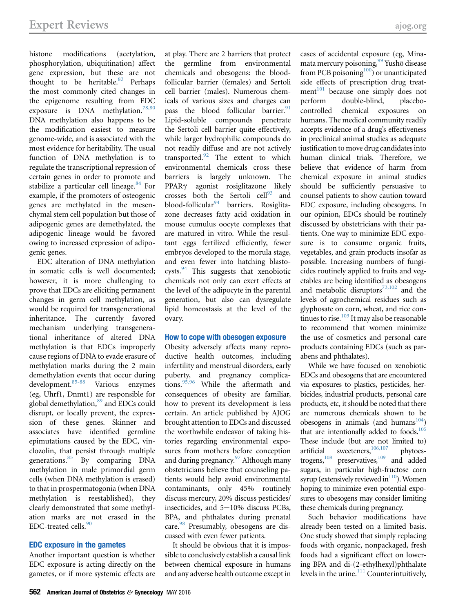histone modifications (acetylation, phosphorylation, ubiquitination) affect gene expression, but these are not thought to be heritable. $83$  Perhaps the most commonly cited changes in the epigenome resulting from EDC exposure is DNA methylation.<sup>[78,80](#page-5-0)</sup> DNA methylation also happens to be the modification easiest to measure genome-wide, and is associated with the most evidence for heritability. The usual function of DNA methylation is to regulate the transcriptional repression of certain genes in order to promote and stabilize a particular cell lineage. $84$  For example, if the promoters of osteogenic genes are methylated in the mesenchymal stem cell population but those of adipogenic genes are demethylated, the adipogenic lineage would be favored owing to increased expression of adipogenic genes.

EDC alteration of DNA methylation in somatic cells is well documented; however, it is more challenging to prove that EDCs are eliciting permanent changes in germ cell methylation, as would be required for transgenerational inheritance. The currently favored mechanism underlying transgenerational inheritance of altered DNA methylation is that EDCs improperly cause regions of DNA to evade erasure of methylation marks during the 2 main demethylation events that occur during development.[85-88](#page-5-0) Various enzymes (eg, Uhrf1, Dnmt1) are responsible for global demethylation,<sup>[89](#page-6-0)</sup> and EDCs could disrupt, or locally prevent, the expression of these genes. Skinner and associates have identified germline epimutations caused by the EDC, vinclozolin, that persist through multiple generations.[85](#page-5-0) By comparing DNA methylation in male primordial germ cells (when DNA methylation is erased) to that in prospermatogonia (when DNA methylation is reestablished), they clearly demonstrated that some methylation marks are not erased in the EDC-treated cells. $90$ 

#### EDC exposure in the gametes

Another important question is whether EDC exposure is acting directly on the gametes, or if more systemic effects are at play. There are 2 barriers that protect the germline from environmental chemicals and obesogens: the bloodfollicular barrier (females) and Sertoli cell barrier (males). Numerous chemicals of various sizes and charges can pass the blood follicular barrier.<sup>[91](#page-6-0)</sup> Lipid-soluble compounds penetrate the Sertoli cell barrier quite effectively, while larger hydrophilic compounds do not readily diffuse and are not actively transported. $92$  The extent to which environmental chemicals cross these barriers is largely unknown. The PPAR<sub>Y</sub> agonist rosiglitazone likely crosses both the Sertoli  $\text{cell}^{93}$  $\text{cell}^{93}$  $\text{cell}^{93}$  and blood-follicular $94$  barriers. Rosiglitazone decreases fatty acid oxidation in mouse cumulus oocyte complexes that are matured in vitro. While the resultant eggs fertilized efficiently, fewer embryos developed to the morula stage, and even fewer into hatching blastocysts.[94](#page-6-0) This suggests that xenobiotic chemicals not only can exert effects at the level of the adipocyte in the parental generation, but also can dysregulate lipid homeostasis at the level of the ovary.

#### How to cope with obesogen exposure

Obesity adversely affects many reproductive health outcomes, including infertility and menstrual disorders, early puberty, and pregnancy complications. $95,96$  While the aftermath and consequences of obesity are familiar, how to prevent its development is less certain. An article published by AJOG brought attention to EDCs and discussed the worthwhile endeavor of taking histories regarding environmental exposures from mothers before conception and during pregnancy. $97$  Although many obstetricians believe that counseling patients would help avoid environmental contaminants, only 45% routinely discuss mercury, 20% discuss pesticides/ insecticides, and  $5-10\%$  discuss PCBs, BPA, and phthalates during prenatal care.<sup>[98](#page-6-0)</sup> Presumably, obesogens are discussed with even fewer patients.

It should be obvious that it is impossible to conclusively establish a causal link between chemical exposure in humans and any adverse health outcome except in

cases of accidental exposure (eg, Minamata mercury poisoning,<sup>99</sup> Yusho disease from PCB poisoning<sup>100</sup>) or unanticipated side effects of prescription drug treatment<sup>101</sup> because one simply does not perform double-blind, placebocontrolled chemical exposures on humans. The medical community readily accepts evidence of a drug's effectiveness in preclinical animal studies as adequate justification to move drug candidates into human clinical trials. Therefore, we believe that evidence of harm from chemical exposure in animal studies should be sufficiently persuasive to counsel patients to show caution toward EDC exposure, including obesogens. In our opinion, EDCs should be routinely discussed by obstetricians with their patients. One way to minimize EDC exposure is to consume organic fruits, vegetables, and grain products insofar as possible. Increasing numbers of fungicides routinely applied to fruits and vegetables are being identified as obesogens and metabolic disruptors $73,102$  and the levels of agrochemical residues such as glyphosate on corn, wheat, and rice continues to rise. $103$  It may also be reasonable to recommend that women minimize the use of cosmetics and personal care products containing EDCs (such as parabens and phthalates).

While we have focused on xenobiotic EDCs and obesogens that are encountered via exposures to plastics, pesticides, herbicides, industrial products, personal care products, etc, it should be noted that there are numerous chemicals shown to be obesogens in animals (and humans $104$ ) that are intentionally added to foods.<sup>[105](#page-6-0)</sup> These include (but are not limited to) artificial sweeteners, $106,107$  phytoestrogens, $108$  preservatives, $109$  and added sugars, in particular high-fructose corn syrup (extensively reviewed in $^{110}$ ). Women hoping to minimize even potential exposures to obesogens may consider limiting these chemicals during pregnancy.

Such behavior modifications have already been tested on a limited basis. One study showed that simply replacing foods with organic, nonpackaged, fresh foods had a significant effect on lowering BPA and di-(2-ethylhexyl)phthalate levels in the urine. $111$  Counterintuitively,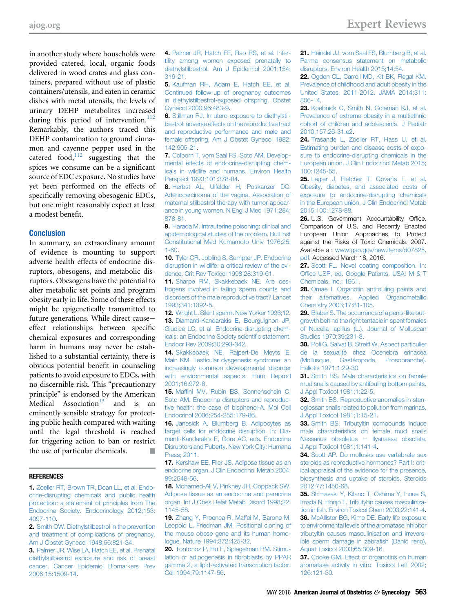<span id="page-4-0"></span>in another study where households were provided catered, local, organic foods delivered in wood crates and glass containers, prepared without use of plastic containers/utensils, and eaten in ceramic dishes with metal utensils, the levels of urinary DEHP metabolites increased during this period of intervention.<sup>112</sup> Remarkably, the authors traced this DEHP contamination to ground cinnamon and cayenne pepper used in the catered food, $112$  suggesting that the spices we consume can be a significant source of EDC exposure. No studies have yet been performed on the effects of specifically removing obesogenic EDCs, but one might reasonably expect at least a modest benefit.

#### **Conclusion**

In summary, an extraordinary amount of evidence is mounting to support adverse health effects of endocrine disruptors, obesogens, and metabolic disruptors. Obesogens have the potential to alter metabolic set points and program obesity early in life. Some of these effects might be epigenetically transmitted to future generations. While direct causeeffect relationships between specific chemical exposures and corresponding harm in humans may never be established to a substantial certainty, there is obvious potential benefit in counseling patients to avoid exposure to EDCs, with no discernible risk. This "precautionary principle" is endorsed by the American Medical Association<sup>13</sup> and is an eminently sensible strategy for protecting public health compared with waiting until the legal threshold is reached for triggering action to ban or restrict the use of particular chemicals.

#### **REFERENCES**

1. [Zoeller RT, Brown TR, Doan LL, et al. Endo](http://refhub.elsevier.com/S0002-9378(16)00232-5/sref1)[crine-disrupting chemicals and public health](http://refhub.elsevier.com/S0002-9378(16)00232-5/sref1) [protection: a statement of principles from The](http://refhub.elsevier.com/S0002-9378(16)00232-5/sref1) [Endocrine Society. Endocrinology 2012;153:](http://refhub.elsevier.com/S0002-9378(16)00232-5/sref1) [4097-110](http://refhub.elsevier.com/S0002-9378(16)00232-5/sref1).

2. [Smith OW. Diethylstilbestrol in the prevention](http://refhub.elsevier.com/S0002-9378(16)00232-5/sref2) [and treatment of complications of pregnancy.](http://refhub.elsevier.com/S0002-9378(16)00232-5/sref2) [Am J Obstet Gynecol 1948;56:821-34](http://refhub.elsevier.com/S0002-9378(16)00232-5/sref2).

3. [Palmer JR, Wise LA, Hatch EE, et al. Prenatal](http://refhub.elsevier.com/S0002-9378(16)00232-5/sref3) [diethylstilbestrol exposure and risk of breast](http://refhub.elsevier.com/S0002-9378(16)00232-5/sref3) [cancer. Cancer Epidemiol Biomarkers Prev](http://refhub.elsevier.com/S0002-9378(16)00232-5/sref3) [2006;15:1509-14.](http://refhub.elsevier.com/S0002-9378(16)00232-5/sref3)

4. [Palmer JR, Hatch EE, Rao RS, et al. Infer](http://refhub.elsevier.com/S0002-9378(16)00232-5/sref4)[tility among women exposed prenatally to](http://refhub.elsevier.com/S0002-9378(16)00232-5/sref4) [diethylstilbestrol. Am J Epidemiol 2001;154:](http://refhub.elsevier.com/S0002-9378(16)00232-5/sref4) [316-21](http://refhub.elsevier.com/S0002-9378(16)00232-5/sref4).

5. [Kaufman RH, Adam E, Hatch EE, et al.](http://refhub.elsevier.com/S0002-9378(16)00232-5/sref5) [Continued follow-up of pregnancy outcomes](http://refhub.elsevier.com/S0002-9378(16)00232-5/sref5) [in diethylstilbestrol-exposed offspring. Obstet](http://refhub.elsevier.com/S0002-9378(16)00232-5/sref5) [Gynecol 2000;96:483-9](http://refhub.elsevier.com/S0002-9378(16)00232-5/sref5).

6. [Stillman RJ. In utero exposure to diethylstil](http://refhub.elsevier.com/S0002-9378(16)00232-5/sref6)[bestrol: adverse effects on the reproductive tract](http://refhub.elsevier.com/S0002-9378(16)00232-5/sref6) [and reproductive performance and male and](http://refhub.elsevier.com/S0002-9378(16)00232-5/sref6) [female offspring. Am J Obstet Gynecol 1982;](http://refhub.elsevier.com/S0002-9378(16)00232-5/sref6) [142:905-21](http://refhub.elsevier.com/S0002-9378(16)00232-5/sref6).

7. [Colborn T, vom Saal FS, Soto AM. Develop](http://refhub.elsevier.com/S0002-9378(16)00232-5/sref7)[mental effects of endocrine-disrupting chem](http://refhub.elsevier.com/S0002-9378(16)00232-5/sref7)[icals in wildlife and humans. Environ Health](http://refhub.elsevier.com/S0002-9378(16)00232-5/sref7) [Perspect 1993;101:378-84.](http://refhub.elsevier.com/S0002-9378(16)00232-5/sref7)

8. [Herbst AL, Ulfelder H, Poskanzer DC.](http://refhub.elsevier.com/S0002-9378(16)00232-5/sref8) [Adenocarcinoma of the vagina. Association of](http://refhub.elsevier.com/S0002-9378(16)00232-5/sref8) [maternal stilbestrol therapy with tumor appear](http://refhub.elsevier.com/S0002-9378(16)00232-5/sref8)[ance in young women. N Engl J Med 1971;284:](http://refhub.elsevier.com/S0002-9378(16)00232-5/sref8) [878-81](http://refhub.elsevier.com/S0002-9378(16)00232-5/sref8).

9. [Harada M. Intrauterine poisoning: clinical and](http://refhub.elsevier.com/S0002-9378(16)00232-5/sref9) [epidemiological studies of the problem. Bull Inst](http://refhub.elsevier.com/S0002-9378(16)00232-5/sref9) [Constitutional Med Kumamoto Univ 1976;25:](http://refhub.elsevier.com/S0002-9378(16)00232-5/sref9) [1-60](http://refhub.elsevier.com/S0002-9378(16)00232-5/sref9).

10. [Tyler CR, Jobling S, Sumpter JP. Endocrine](http://refhub.elsevier.com/S0002-9378(16)00232-5/sref10) [disruption in wildlife: a critical review of the evi](http://refhub.elsevier.com/S0002-9378(16)00232-5/sref10)[dence. Crit Rev Toxicol 1998;28:319-61.](http://refhub.elsevier.com/S0002-9378(16)00232-5/sref10)

11. [Sharpe RM, Skakkebaek NE. Are oes](http://refhub.elsevier.com/S0002-9378(16)00232-5/sref11)[trogens involved in falling sperm counts and](http://refhub.elsevier.com/S0002-9378(16)00232-5/sref11) [disorders of the male reproductive tract? Lancet](http://refhub.elsevier.com/S0002-9378(16)00232-5/sref11) [1993;341:1392-5](http://refhub.elsevier.com/S0002-9378(16)00232-5/sref11).

12. [Wright L. Silent sperm. New Yorker 1996;12](http://refhub.elsevier.com/S0002-9378(16)00232-5/sref12). 13. [Diamanti-Kandarakis E, Bourguignon JP,](http://refhub.elsevier.com/S0002-9378(16)00232-5/sref13) [Giudice LC, et al. Endocrine-disrupting chem](http://refhub.elsevier.com/S0002-9378(16)00232-5/sref13)[icals: an Endocrine Society scienti](http://refhub.elsevier.com/S0002-9378(16)00232-5/sref13)fic statement. [Endocr Rev 2009;30:293-342.](http://refhub.elsevier.com/S0002-9378(16)00232-5/sref13)

14. [Skakkebaek NE, Rajpert-De Meyts E,](http://refhub.elsevier.com/S0002-9378(16)00232-5/sref14) [Main KM. Testicular dysgenesis syndrome: an](http://refhub.elsevier.com/S0002-9378(16)00232-5/sref14) [increasingly common developmental disorder](http://refhub.elsevier.com/S0002-9378(16)00232-5/sref14) [with environmental aspects. Hum Reprod](http://refhub.elsevier.com/S0002-9378(16)00232-5/sref14) [2001;16:972-8](http://refhub.elsevier.com/S0002-9378(16)00232-5/sref14).

15. Maffi[ni MV, Rubin BS, Sonnenschein C,](http://refhub.elsevier.com/S0002-9378(16)00232-5/sref15) [Soto AM. Endocrine disruptors and reproduc](http://refhub.elsevier.com/S0002-9378(16)00232-5/sref15)[tive health: the case of bisphenol-A. Mol Cell](http://refhub.elsevier.com/S0002-9378(16)00232-5/sref15) [Endocrinol 2006;254-255:179-86](http://refhub.elsevier.com/S0002-9378(16)00232-5/sref15).

16. [Janesick A, Blumberg B. Adipocytes as](http://refhub.elsevier.com/S0002-9378(16)00232-5/sref16) [target cells for endocrine disruption. In: Dia](http://refhub.elsevier.com/S0002-9378(16)00232-5/sref16)[manti-Kandarakis E, Gore AC, eds. Endocrine](http://refhub.elsevier.com/S0002-9378(16)00232-5/sref16) [Disruptors and Puberty. New York City: Humana](http://refhub.elsevier.com/S0002-9378(16)00232-5/sref16) [Press; 2011](http://refhub.elsevier.com/S0002-9378(16)00232-5/sref16).

17. [Kershaw EE, Flier JS. Adipose tissue as an](http://refhub.elsevier.com/S0002-9378(16)00232-5/sref17) [endocrine organ. J Clin Endocrinol Metab 2004;](http://refhub.elsevier.com/S0002-9378(16)00232-5/sref17) [89:2548-56](http://refhub.elsevier.com/S0002-9378(16)00232-5/sref17).

18. [Mohamed-Ali V, Pinkney JH, Coppack SW.](http://refhub.elsevier.com/S0002-9378(16)00232-5/sref18) [Adipose tissue as an endocrine and paracrine](http://refhub.elsevier.com/S0002-9378(16)00232-5/sref18) [organ. Int J Obes Relat Metab Disord 1998;22:](http://refhub.elsevier.com/S0002-9378(16)00232-5/sref18) [1145-58](http://refhub.elsevier.com/S0002-9378(16)00232-5/sref18).

19. [Zhang Y, Proenca R, Maffei M, Barone M,](http://refhub.elsevier.com/S0002-9378(16)00232-5/sref19) [Leopold L, Friedman JM. Positional cloning of](http://refhub.elsevier.com/S0002-9378(16)00232-5/sref19) [the mouse obese gene and its human homo](http://refhub.elsevier.com/S0002-9378(16)00232-5/sref19)[logue. Nature 1994;372:425-32.](http://refhub.elsevier.com/S0002-9378(16)00232-5/sref19)

20. [Tontonoz P, Hu E, Spiegelman BM. Stimu](http://refhub.elsevier.com/S0002-9378(16)00232-5/sref20)[lation of adipogenesis in](http://refhub.elsevier.com/S0002-9378(16)00232-5/sref20) fibroblasts by PPAR [gamma 2, a lipid-activated transcription factor.](http://refhub.elsevier.com/S0002-9378(16)00232-5/sref20) [Cell 1994;79:1147-56.](http://refhub.elsevier.com/S0002-9378(16)00232-5/sref20)

21. [Heindel JJ, vom Saal FS, Blumberg B, et al.](http://refhub.elsevier.com/S0002-9378(16)00232-5/sref21) [Parma consensus statement on metabolic](http://refhub.elsevier.com/S0002-9378(16)00232-5/sref21) [disruptors. Environ Health 2015;14:54](http://refhub.elsevier.com/S0002-9378(16)00232-5/sref21).

22. [Ogden CL, Carroll MD, Kit BK, Flegal KM.](http://refhub.elsevier.com/S0002-9378(16)00232-5/sref22) [Prevalence of childhood and adult obesity in the](http://refhub.elsevier.com/S0002-9378(16)00232-5/sref22) [United States, 2011-2012. JAMA 2014;311:](http://refhub.elsevier.com/S0002-9378(16)00232-5/sref22) [806-14](http://refhub.elsevier.com/S0002-9378(16)00232-5/sref22).

23. [Koebnick C, Smith N, Coleman KJ, et al.](http://refhub.elsevier.com/S0002-9378(16)00232-5/sref23) [Prevalence of extreme obesity in a multiethnic](http://refhub.elsevier.com/S0002-9378(16)00232-5/sref23) [cohort of children and adolescents. J Pediatr](http://refhub.elsevier.com/S0002-9378(16)00232-5/sref23) [2010;157:26-31.e2.](http://refhub.elsevier.com/S0002-9378(16)00232-5/sref23)

24. [Trasande L, Zoeller RT, Hass U, et al.](http://refhub.elsevier.com/S0002-9378(16)00232-5/sref24) [Estimating burden and disease costs of expo](http://refhub.elsevier.com/S0002-9378(16)00232-5/sref24)[sure to endocrine-disrupting chemicals in the](http://refhub.elsevier.com/S0002-9378(16)00232-5/sref24) [European union. J Clin Endocrinol Metab 2015;](http://refhub.elsevier.com/S0002-9378(16)00232-5/sref24) [100:1245-55](http://refhub.elsevier.com/S0002-9378(16)00232-5/sref24).

25. [Legler J, Fletcher T, Govarts E, et al.](http://refhub.elsevier.com/S0002-9378(16)00232-5/sref25) [Obesity, diabetes, and associated costs of](http://refhub.elsevier.com/S0002-9378(16)00232-5/sref25) [exposure to endocrine-disrupting chemicals](http://refhub.elsevier.com/S0002-9378(16)00232-5/sref25) [in the European union. J Clin Endocrinol Metab](http://refhub.elsevier.com/S0002-9378(16)00232-5/sref25) [2015;100:1278-88.](http://refhub.elsevier.com/S0002-9378(16)00232-5/sref25)

26. U.S. Government Accountability Office. Comparison of U.S. and Recently Enacted European Union Approaches to Protect against the Risks of Toxic Chemicals. 2007. Available at: [www.gao.gov/new.items/d07825.](http://www.gao.gov/new.items/d07825.pdf) [pdf.](http://www.gao.gov/new.items/d07825.pdf) Accessed March 18, 2016.

27. [Scott FL. Novel coating composition. In:](http://refhub.elsevier.com/S0002-9378(16)00232-5/sref27) Offi[ce USP, ed. Google Patents. USA: M & T](http://refhub.elsevier.com/S0002-9378(16)00232-5/sref27) [Chemicals, Inc.; 1961.](http://refhub.elsevier.com/S0002-9378(16)00232-5/sref27)

28. [Omae I. Organotin antifouling paints and](http://refhub.elsevier.com/S0002-9378(16)00232-5/sref28) [their alternatives. Applied Organometallic](http://refhub.elsevier.com/S0002-9378(16)00232-5/sref28) [Chemistry 2003;17:81-105](http://refhub.elsevier.com/S0002-9378(16)00232-5/sref28).

29. [Blaber S. The occurrence of a penis-like out](http://refhub.elsevier.com/S0002-9378(16)00232-5/sref29)[growth behind the right tentacle in spent females](http://refhub.elsevier.com/S0002-9378(16)00232-5/sref29) [of Nucella lapillus \(L.\). Journal of Molluscan](http://refhub.elsevier.com/S0002-9378(16)00232-5/sref29) [Studies 1970;39:231-3](http://refhub.elsevier.com/S0002-9378(16)00232-5/sref29).

30. [Poli G, Salvat B, Streiff W. Aspect particulier](http://refhub.elsevier.com/S0002-9378(16)00232-5/sref30) [de la sexualité chez Ocenebra erinacea](http://refhub.elsevier.com/S0002-9378(16)00232-5/sref30) [\(Mollusque, Gastéropode, Prosobranche\).](http://refhub.elsevier.com/S0002-9378(16)00232-5/sref30) [Haliotis 1971;1:29-30.](http://refhub.elsevier.com/S0002-9378(16)00232-5/sref30)

31. [Smith BS. Male characteristics on female](http://refhub.elsevier.com/S0002-9378(16)00232-5/sref31) [mud snails caused by antifouling bottom paints.](http://refhub.elsevier.com/S0002-9378(16)00232-5/sref31) [J Appl Toxicol 1981;1:22-5.](http://refhub.elsevier.com/S0002-9378(16)00232-5/sref31)

32. [Smith BS. Reproductive anomalies in sten](http://refhub.elsevier.com/S0002-9378(16)00232-5/sref32)[oglossan snails related to pollution from marinas.](http://refhub.elsevier.com/S0002-9378(16)00232-5/sref32) [J Appl Toxicol 1981;1:15-21.](http://refhub.elsevier.com/S0002-9378(16)00232-5/sref32)

33. [Smith BS. Tributyltin compounds induce](http://refhub.elsevier.com/S0002-9378(16)00232-5/sref33) [male characteristics on female mud snails](http://refhub.elsevier.com/S0002-9378(16)00232-5/sref33) [Nassarius obsoletus](http://refhub.elsevier.com/S0002-9378(16)00232-5/sref33)  $=$  [Ilyanassa obsoleta.](http://refhub.elsevier.com/S0002-9378(16)00232-5/sref33) [J Appl Toxicol 1981;1:141-4.](http://refhub.elsevier.com/S0002-9378(16)00232-5/sref33)

34. [Scott AP. Do mollusks use vertebrate sex](http://refhub.elsevier.com/S0002-9378(16)00232-5/sref34) [steroids as reproductive hormones? Part I: crit](http://refhub.elsevier.com/S0002-9378(16)00232-5/sref34)[ical appraisal of the evidence for the presence,](http://refhub.elsevier.com/S0002-9378(16)00232-5/sref34) [biosynthesis and uptake of steroids. Steroids](http://refhub.elsevier.com/S0002-9378(16)00232-5/sref34) [2012;77:1450-68](http://refhub.elsevier.com/S0002-9378(16)00232-5/sref34).

35. [Shimasaki Y, Kitano T, Oshima Y, Inoue S,](http://refhub.elsevier.com/S0002-9378(16)00232-5/sref35) [Imada N, Honjo T. Tributyltin causes masculiniza](http://refhub.elsevier.com/S0002-9378(16)00232-5/sref35)tion in fi[sh. Environ Toxicol Chem 2003;22:141-4.](http://refhub.elsevier.com/S0002-9378(16)00232-5/sref35) 36. [McAllister BG, Kime DE. Early life exposure](http://refhub.elsevier.com/S0002-9378(16)00232-5/sref36) [to environmental levels of the aromatase inhibitor](http://refhub.elsevier.com/S0002-9378(16)00232-5/sref36) [tributyltin causes masculinisation and irrevers](http://refhub.elsevier.com/S0002-9378(16)00232-5/sref36)[ible sperm damage in zebra](http://refhub.elsevier.com/S0002-9378(16)00232-5/sref36)fish (Danio rerio). [Aquat Toxicol 2003;65:309-16](http://refhub.elsevier.com/S0002-9378(16)00232-5/sref36).

37. [Cooke GM. Effect of organotins on human](http://refhub.elsevier.com/S0002-9378(16)00232-5/sref37) [aromatase activity in vitro. Toxicol Lett 2002;](http://refhub.elsevier.com/S0002-9378(16)00232-5/sref37) [126:121-30.](http://refhub.elsevier.com/S0002-9378(16)00232-5/sref37)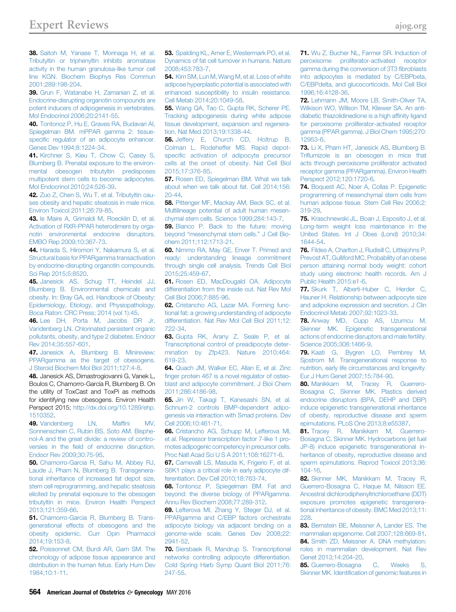<span id="page-5-0"></span>38. [Saitoh M, Yanase T, Morinaga H, et al.](http://refhub.elsevier.com/S0002-9378(16)00232-5/sref38) [Tributyltin or triphenyltin inhibits aromatase](http://refhub.elsevier.com/S0002-9378(16)00232-5/sref38) [activity in the human granulosa-like tumor cell](http://refhub.elsevier.com/S0002-9378(16)00232-5/sref38) [line KGN. Biochem Biophys Res Commun](http://refhub.elsevier.com/S0002-9378(16)00232-5/sref38) [2001;289:198-204](http://refhub.elsevier.com/S0002-9378(16)00232-5/sref38).

39. [Grun F, Watanabe H, Zamanian Z, et al.](http://refhub.elsevier.com/S0002-9378(16)00232-5/sref39) [Endocrine-disrupting organotin compounds are](http://refhub.elsevier.com/S0002-9378(16)00232-5/sref39) [potent inducers of adipogenesis in vertebrates.](http://refhub.elsevier.com/S0002-9378(16)00232-5/sref39) [Mol Endocrinol 2006;20:2141-55](http://refhub.elsevier.com/S0002-9378(16)00232-5/sref39).

40. [Tontonoz P, Hu E, Graves RA, Budavari AI,](http://refhub.elsevier.com/S0002-9378(16)00232-5/sref40) [Spiegelman BM. mPPAR gamma 2: tissue](http://refhub.elsevier.com/S0002-9378(16)00232-5/sref40)specifi[c regulator of an adipocyte enhancer.](http://refhub.elsevier.com/S0002-9378(16)00232-5/sref40) [Genes Dev 1994;8:1224-34.](http://refhub.elsevier.com/S0002-9378(16)00232-5/sref40)

41. [Kirchner S, Kieu T, Chow C, Casey S,](http://refhub.elsevier.com/S0002-9378(16)00232-5/sref41) [Blumberg B. Prenatal exposure to the environ](http://refhub.elsevier.com/S0002-9378(16)00232-5/sref41)[mental obesogen tributyltin predisposes](http://refhub.elsevier.com/S0002-9378(16)00232-5/sref41) [multipotent stem cells to become adipocytes.](http://refhub.elsevier.com/S0002-9378(16)00232-5/sref41) [Mol Endocrinol 2010;24:526-39.](http://refhub.elsevier.com/S0002-9378(16)00232-5/sref41)

42. [Zuo Z, Chen S, Wu T, et al. Tributyltin cau](http://refhub.elsevier.com/S0002-9378(16)00232-5/sref42)[ses obesity and hepatic steatosis in male mice.](http://refhub.elsevier.com/S0002-9378(16)00232-5/sref42) [Environ Toxicol 2011;26:79-85](http://refhub.elsevier.com/S0002-9378(16)00232-5/sref42).

43. [le Maire A, Grimaldi M, Roecklin D, et al.](http://refhub.elsevier.com/S0002-9378(16)00232-5/sref43) [Activation of RXR-PPAR heterodimers by orga](http://refhub.elsevier.com/S0002-9378(16)00232-5/sref43)[notin environmental endocrine disruptors.](http://refhub.elsevier.com/S0002-9378(16)00232-5/sref43) [EMBO Rep 2009;10:367-73.](http://refhub.elsevier.com/S0002-9378(16)00232-5/sref43)

44. [Harada S, Hiromori Y, Nakamura S, et al.](http://refhub.elsevier.com/S0002-9378(16)00232-5/sref44) [Structural basis for PPARgamma transactivation](http://refhub.elsevier.com/S0002-9378(16)00232-5/sref44) [by endocrine-disrupting organotin compounds.](http://refhub.elsevier.com/S0002-9378(16)00232-5/sref44) [Sci Rep 2015;5:8520](http://refhub.elsevier.com/S0002-9378(16)00232-5/sref44).

45. [Janesick AS, Schug TT, Heindel JJ,](http://refhub.elsevier.com/S0002-9378(16)00232-5/sref45) [Blumberg B. Environmental chemicals and](http://refhub.elsevier.com/S0002-9378(16)00232-5/sref45) [obesity. In: Bray GA, ed. Handbook of Obesity:](http://refhub.elsevier.com/S0002-9378(16)00232-5/sref45) [Epidemiology, Etiology, and Physiopathology.](http://refhub.elsevier.com/S0002-9378(16)00232-5/sref45) [Boca Raton: CRC Press; 2014 \(vol 1\):45.](http://refhub.elsevier.com/S0002-9378(16)00232-5/sref45)

46. [Lee DH, Porta M, Jacobs DR Jr,](http://refhub.elsevier.com/S0002-9378(16)00232-5/sref46) [Vandenberg LN. Chlorinated persistent organic](http://refhub.elsevier.com/S0002-9378(16)00232-5/sref46) [pollutants, obesity, and type 2 diabetes. Endocr](http://refhub.elsevier.com/S0002-9378(16)00232-5/sref46) [Rev 2014;35:557-601.](http://refhub.elsevier.com/S0002-9378(16)00232-5/sref46)

47. [Janesick A, Blumberg B. Minireview:](http://refhub.elsevier.com/S0002-9378(16)00232-5/sref47) [PPARgamma as the target of obesogens.](http://refhub.elsevier.com/S0002-9378(16)00232-5/sref47) [J Steroid Biochem Mol Biol 2011;127:4-8](http://refhub.elsevier.com/S0002-9378(16)00232-5/sref47).

48. Janesick AS, Dimastrogiovanni G, Vanek L, Boulos C, Chamorro-García R, Blumberg B. On the utility of ToxCast and ToxPi as methods for identifying new obesogens. Environ Health Perspect 2015; [http://dx.doi.org/10.1289/ehp.](http://dx.doi.org/10.1289/ehp.1510352) [1510352.](http://dx.doi.org/10.1289/ehp.1510352)

49. [Vandenberg LN, Maf](http://refhub.elsevier.com/S0002-9378(16)00232-5/sref49)fini MV, [Sonnenschein C, Rubin BS, Soto AM. Bisphe](http://refhub.elsevier.com/S0002-9378(16)00232-5/sref49)[nol-A and the great divide: a review of contro](http://refhub.elsevier.com/S0002-9378(16)00232-5/sref49)versies in the fi[eld of endocrine disruption.](http://refhub.elsevier.com/S0002-9378(16)00232-5/sref49) [Endocr Rev 2009;30:75-95.](http://refhub.elsevier.com/S0002-9378(16)00232-5/sref49)

50. [Chamorro-Garcia R, Sahu M, Abbey RJ,](http://refhub.elsevier.com/S0002-9378(16)00232-5/sref50) [Laude J, Pham N, Blumberg B. Transgenera](http://refhub.elsevier.com/S0002-9378(16)00232-5/sref50)[tional inheritance of increased fat depot size,](http://refhub.elsevier.com/S0002-9378(16)00232-5/sref50) [stem cell reprogramming, and hepatic steatosis](http://refhub.elsevier.com/S0002-9378(16)00232-5/sref50) [elicited by prenatal exposure to the obesogen](http://refhub.elsevier.com/S0002-9378(16)00232-5/sref50) [tributyltin in mice. Environ Health Perspect](http://refhub.elsevier.com/S0002-9378(16)00232-5/sref50) [2013;121:359-66.](http://refhub.elsevier.com/S0002-9378(16)00232-5/sref50)

51. [Chamorro-Garcia R, Blumberg B. Trans](http://refhub.elsevier.com/S0002-9378(16)00232-5/sref51)[generational effects of obesogens and the](http://refhub.elsevier.com/S0002-9378(16)00232-5/sref51) [obesity epidemic. Curr Opin Pharmacol](http://refhub.elsevier.com/S0002-9378(16)00232-5/sref51) [2014;19:153-8.](http://refhub.elsevier.com/S0002-9378(16)00232-5/sref51)

52. Poissonnet CM, Burdi AR, Garn SM, The [chronology of adipose tissue appearance and](http://refhub.elsevier.com/S0002-9378(16)00232-5/sref52) [distribution in the human fetus. Early Hum Dev](http://refhub.elsevier.com/S0002-9378(16)00232-5/sref52) [1984;10:1-11.](http://refhub.elsevier.com/S0002-9378(16)00232-5/sref52)

**53.** [Spalding KL, Arner E, Westermark PO, et al.](http://refhub.elsevier.com/S0002-9378(16)00232-5/sref53) [Dynamics of fat cell turnover in humans. Nature](http://refhub.elsevier.com/S0002-9378(16)00232-5/sref53) [2008;453:783-7.](http://refhub.elsevier.com/S0002-9378(16)00232-5/sref53)

54. [Kim SM, Lun M, Wang M, et al. Loss of white](http://refhub.elsevier.com/S0002-9378(16)00232-5/sref54) [adipose hyperplastic potential is associated with](http://refhub.elsevier.com/S0002-9378(16)00232-5/sref54) [enhanced susceptibility to insulin resistance.](http://refhub.elsevier.com/S0002-9378(16)00232-5/sref54) [Cell Metab 2014;20:1049-58](http://refhub.elsevier.com/S0002-9378(16)00232-5/sref54).

55. [Wang QA, Tao C, Gupta RK, Scherer PE.](http://refhub.elsevier.com/S0002-9378(16)00232-5/sref55) [Tracking adipogenesis during white adipose](http://refhub.elsevier.com/S0002-9378(16)00232-5/sref55) [tissue development, expansion and regenera](http://refhub.elsevier.com/S0002-9378(16)00232-5/sref55)[tion. Nat Med 2013;19:1338-44](http://refhub.elsevier.com/S0002-9378(16)00232-5/sref55).

56. [Jeffery E, Church CD, Holtrup B,](http://refhub.elsevier.com/S0002-9378(16)00232-5/sref56) [Colman L, Rodeheffer MS. Rapid depot](http://refhub.elsevier.com/S0002-9378(16)00232-5/sref56)specifi[c activation of adipocyte precursor](http://refhub.elsevier.com/S0002-9378(16)00232-5/sref56) [cells at the onset of obesity. Nat Cell Biol](http://refhub.elsevier.com/S0002-9378(16)00232-5/sref56) [2015;17:376-85.](http://refhub.elsevier.com/S0002-9378(16)00232-5/sref56)

57. [Rosen ED, Spiegelman BM. What we talk](http://refhub.elsevier.com/S0002-9378(16)00232-5/sref57) [about when we talk about fat. Cell 2014;156:](http://refhub.elsevier.com/S0002-9378(16)00232-5/sref57)  $20 - 44$ 

58. [Pittenger MF, Mackay AM, Beck SC, et al.](http://refhub.elsevier.com/S0002-9378(16)00232-5/sref58) [Multilineage potential of adult human mesen](http://refhub.elsevier.com/S0002-9378(16)00232-5/sref58)[chymal stem cells. Science 1999;284:143-7.](http://refhub.elsevier.com/S0002-9378(16)00232-5/sref58)

59. [Bianco P. Back to the future: moving](http://refhub.elsevier.com/S0002-9378(16)00232-5/sref59) beyond "[mesenchymal stem cells.](http://refhub.elsevier.com/S0002-9378(16)00232-5/sref59)" J Cell Bio[chem 2011;112:1713-21](http://refhub.elsevier.com/S0002-9378(16)00232-5/sref59).

60. [Nimmo RA, May GE, Enver T. Primed and](http://refhub.elsevier.com/S0002-9378(16)00232-5/sref60) [ready: understanding lineage commitment](http://refhub.elsevier.com/S0002-9378(16)00232-5/sref60) [through single cell analysis. Trends Cell Biol](http://refhub.elsevier.com/S0002-9378(16)00232-5/sref60) [2015;25:459-67.](http://refhub.elsevier.com/S0002-9378(16)00232-5/sref60)

61. [Rosen ED, MacDougald OA. Adipocyte](http://refhub.elsevier.com/S0002-9378(16)00232-5/sref61) [differentiation from the inside out. Nat Rev Mol](http://refhub.elsevier.com/S0002-9378(16)00232-5/sref61) [Cell Biol 2006;7:885-96.](http://refhub.elsevier.com/S0002-9378(16)00232-5/sref61)

62. [Cristancho AG, Lazar MA. Forming func](http://refhub.elsevier.com/S0002-9378(16)00232-5/sref62)[tional fat: a growing understanding of adipocyte](http://refhub.elsevier.com/S0002-9378(16)00232-5/sref62) [differentiation. Nat Rev Mol Cell Biol 2011;12:](http://refhub.elsevier.com/S0002-9378(16)00232-5/sref62) [722-34](http://refhub.elsevier.com/S0002-9378(16)00232-5/sref62).

63. [Gupta RK, Arany Z, Seale P, et al.](http://refhub.elsevier.com/S0002-9378(16)00232-5/sref63) [Transcriptional control of preadipocyte deter](http://refhub.elsevier.com/S0002-9378(16)00232-5/sref63)[mination by Zfp423. Nature 2010;464:](http://refhub.elsevier.com/S0002-9378(16)00232-5/sref63) [619-23.](http://refhub.elsevier.com/S0002-9378(16)00232-5/sref63)

64. [Quach JM, Walker EC, Allan E, et al. Zinc](http://refhub.elsevier.com/S0002-9378(16)00232-5/sref64) fi[nger protein 467 is a novel regulator of osteo](http://refhub.elsevier.com/S0002-9378(16)00232-5/sref64)[blast and adipocyte commitment. J Biol Chem](http://refhub.elsevier.com/S0002-9378(16)00232-5/sref64) [2011;286:4186-98](http://refhub.elsevier.com/S0002-9378(16)00232-5/sref64).

65. [Jin W, Takagi T, Kanesashi SN, et al.](http://refhub.elsevier.com/S0002-9378(16)00232-5/sref65) [Schnurri-2 controls BMP-dependent adipo](http://refhub.elsevier.com/S0002-9378(16)00232-5/sref65)[genesis via interaction with Smad proteins. Dev](http://refhub.elsevier.com/S0002-9378(16)00232-5/sref65) [Cell 2006;10:461-71](http://refhub.elsevier.com/S0002-9378(16)00232-5/sref65).

66. [Cristancho AG, Schupp M, Lefterova MI,](http://refhub.elsevier.com/S0002-9378(16)00232-5/sref66) [et al. Repressor transcription factor 7-like 1 pro](http://refhub.elsevier.com/S0002-9378(16)00232-5/sref66)[motes adipogenic competency in precursor cells.](http://refhub.elsevier.com/S0002-9378(16)00232-5/sref66) [Proc Natl Acad Sci U S A 2011;108:16271-6.](http://refhub.elsevier.com/S0002-9378(16)00232-5/sref66)

67. [Carnevalli LS, Masuda K, Frigerio F, et al.](http://refhub.elsevier.com/S0002-9378(16)00232-5/sref67) [S6K1 plays a critical role in early adipocyte dif](http://refhub.elsevier.com/S0002-9378(16)00232-5/sref67)[ferentiation. Dev Cell 2010;18:763-74.](http://refhub.elsevier.com/S0002-9378(16)00232-5/sref67)

68. [Tontonoz P, Spiegelman BM. Fat and](http://refhub.elsevier.com/S0002-9378(16)00232-5/sref68) [beyond: the diverse biology of PPARgamma.](http://refhub.elsevier.com/S0002-9378(16)00232-5/sref68) [Annu Rev Biochem 2008;77:289-312](http://refhub.elsevier.com/S0002-9378(16)00232-5/sref68).

69. [Lefterova MI, Zhang Y, Steger DJ, et al.](http://refhub.elsevier.com/S0002-9378(16)00232-5/sref69) [PPARgamma and C/EBP factors orchestrate](http://refhub.elsevier.com/S0002-9378(16)00232-5/sref69) [adipocyte biology via adjacent binding on a](http://refhub.elsevier.com/S0002-9378(16)00232-5/sref69) [genome-wide scale. Genes Dev 2008;22:](http://refhub.elsevier.com/S0002-9378(16)00232-5/sref69) [2941-52](http://refhub.elsevier.com/S0002-9378(16)00232-5/sref69).

70. [Siersbaek R, Mandrup S. Transcriptional](http://refhub.elsevier.com/S0002-9378(16)00232-5/sref70) [networks controlling adipocyte differentiation.](http://refhub.elsevier.com/S0002-9378(16)00232-5/sref70) [Cold Spring Harb Symp Quant Biol 2011;76:](http://refhub.elsevier.com/S0002-9378(16)00232-5/sref70) [247-55](http://refhub.elsevier.com/S0002-9378(16)00232-5/sref70).

71. [Wu Z, Bucher NL, Farmer SR. Induction of](http://refhub.elsevier.com/S0002-9378(16)00232-5/sref71) [peroxisome proliferator-activated receptor](http://refhub.elsevier.com/S0002-9378(16)00232-5/sref71) [gamma during the conversion of 3T3](http://refhub.elsevier.com/S0002-9378(16)00232-5/sref71) fibroblasts [into adipocytes is mediated by C/EBPbeta,](http://refhub.elsevier.com/S0002-9378(16)00232-5/sref71) [C/EBPdelta, and glucocorticoids. Mol Cell Biol](http://refhub.elsevier.com/S0002-9378(16)00232-5/sref71) [1996;16:4128-36](http://refhub.elsevier.com/S0002-9378(16)00232-5/sref71).

72. [Lehmann JM, Moore LB, Smith-Oliver TA,](http://refhub.elsevier.com/S0002-9378(16)00232-5/sref72) [Wilkison WO, Willson TM, Kliewer SA. An anti](http://refhub.elsevier.com/S0002-9378(16)00232-5/sref72)[diabetic thiazolidinedione is a high af](http://refhub.elsevier.com/S0002-9378(16)00232-5/sref72)finity ligand [for peroxisome proliferator-activated receptor](http://refhub.elsevier.com/S0002-9378(16)00232-5/sref72) [gamma \(PPAR gamma\). J Biol Chem 1995;270:](http://refhub.elsevier.com/S0002-9378(16)00232-5/sref72) [12953-6.](http://refhub.elsevier.com/S0002-9378(16)00232-5/sref72)

73. [Li X, Pham HT, Janesick AS, Blumberg B.](http://refhub.elsevier.com/S0002-9378(16)00232-5/sref73) Trifl[umizole is an obesogen in mice that](http://refhub.elsevier.com/S0002-9378(16)00232-5/sref73) [acts through peroxisome proliferator activated](http://refhub.elsevier.com/S0002-9378(16)00232-5/sref73) [receptor gamma \(PPARgamma\). Environ Health](http://refhub.elsevier.com/S0002-9378(16)00232-5/sref73) [Perspect 2012;120:1720-6.](http://refhub.elsevier.com/S0002-9378(16)00232-5/sref73)

74. [Boquest AC, Noer A, Collas P. Epigenetic](http://refhub.elsevier.com/S0002-9378(16)00232-5/sref74) [programming of mesenchymal stem cells from](http://refhub.elsevier.com/S0002-9378(16)00232-5/sref74) [human adipose tissue. Stem Cell Rev 2006;2:](http://refhub.elsevier.com/S0002-9378(16)00232-5/sref74) [319-29](http://refhub.elsevier.com/S0002-9378(16)00232-5/sref74).

75. [Kraschnewski JL, Boan J, Esposito J, et al.](http://refhub.elsevier.com/S0002-9378(16)00232-5/sref75) [Long-term weight loss maintenance in the](http://refhub.elsevier.com/S0002-9378(16)00232-5/sref75) [United States. Int J Obes \(Lond\) 2010;34:](http://refhub.elsevier.com/S0002-9378(16)00232-5/sref75) [1644-54.](http://refhub.elsevier.com/S0002-9378(16)00232-5/sref75)

76. [Fildes A, Charlton J, Rudisill C, Littlejohns P,](http://refhub.elsevier.com/S0002-9378(16)00232-5/sref76) [Prevost AT, Gulliford MC. Probability of an obese](http://refhub.elsevier.com/S0002-9378(16)00232-5/sref76) [person attaining normal body weight: cohort](http://refhub.elsevier.com/S0002-9378(16)00232-5/sref76) [study using electronic health records. Am J](http://refhub.elsevier.com/S0002-9378(16)00232-5/sref76) [Public Health 2015:e1-6.](http://refhub.elsevier.com/S0002-9378(16)00232-5/sref76)

77. [Skurk T, Alberti-Huber C, Herder C,](http://refhub.elsevier.com/S0002-9378(16)00232-5/sref77) [Hauner H. Relationship between adipocyte size](http://refhub.elsevier.com/S0002-9378(16)00232-5/sref77) [and adipokine expression and secretion. J Clin](http://refhub.elsevier.com/S0002-9378(16)00232-5/sref77) [Endocrinol Metab 2007;92:1023-33.](http://refhub.elsevier.com/S0002-9378(16)00232-5/sref77)

78. [Anway MD, Cupp AS, Uzumcu M,](http://refhub.elsevier.com/S0002-9378(16)00232-5/sref78) [Skinner MK. Epigenetic transgenerational](http://refhub.elsevier.com/S0002-9378(16)00232-5/sref78) [actions of endocrine disruptors and male fertility.](http://refhub.elsevier.com/S0002-9378(16)00232-5/sref78) [Science 2005;308:1466-9](http://refhub.elsevier.com/S0002-9378(16)00232-5/sref78).

79. [Kaati G, Bygren LO, Pembrey M,](http://refhub.elsevier.com/S0002-9378(16)00232-5/sref79) [Sjostrom M. Transgenerational response to](http://refhub.elsevier.com/S0002-9378(16)00232-5/sref79) [nutrition, early life circumstances and longevity.](http://refhub.elsevier.com/S0002-9378(16)00232-5/sref79) [Eur J Hum Genet 2007;15:784-90.](http://refhub.elsevier.com/S0002-9378(16)00232-5/sref79)

80. [Manikkam M, Tracey R, Guerrero-](http://refhub.elsevier.com/S0002-9378(16)00232-5/sref80)[Bosagna C, Skinner MK. Plastics derived](http://refhub.elsevier.com/S0002-9378(16)00232-5/sref80) [endocrine disruptors \(BPA, DEHP and DBP\)](http://refhub.elsevier.com/S0002-9378(16)00232-5/sref80) [induce epigenetic transgenerational inheritance](http://refhub.elsevier.com/S0002-9378(16)00232-5/sref80) [of obesity, reproductive disease and sperm](http://refhub.elsevier.com/S0002-9378(16)00232-5/sref80) [epimutations. PLoS One 2013;8:e55387](http://refhub.elsevier.com/S0002-9378(16)00232-5/sref80).

81. Tracey R. Manikkam M. Guerrero-[Bosagna C, Skinner MK. Hydrocarbons \(jet fuel](http://refhub.elsevier.com/S0002-9378(16)00232-5/sref81) [JP-8\) induce epigenetic transgenerational in](http://refhub.elsevier.com/S0002-9378(16)00232-5/sref81)[heritance of obesity, reproductive disease and](http://refhub.elsevier.com/S0002-9378(16)00232-5/sref81) [sperm epimutations. Reprod Toxicol 2013;36:](http://refhub.elsevier.com/S0002-9378(16)00232-5/sref81) [104-16](http://refhub.elsevier.com/S0002-9378(16)00232-5/sref81).

82. [Skinner MK, Manikkam M, Tracey R,](http://refhub.elsevier.com/S0002-9378(16)00232-5/sref82) [Guerrero-Bosagna C, Haque M, Nilsson EE.](http://refhub.elsevier.com/S0002-9378(16)00232-5/sref82) [Ancestral dichlorodiphenyltrichloroethane \(DDT\)](http://refhub.elsevier.com/S0002-9378(16)00232-5/sref82) [exposure promotes epigenetic transgenera](http://refhub.elsevier.com/S0002-9378(16)00232-5/sref82)[tional inheritance of obesity. BMC Med 2013;11:](http://refhub.elsevier.com/S0002-9378(16)00232-5/sref82) [228.](http://refhub.elsevier.com/S0002-9378(16)00232-5/sref82)

83. [Bernstein BE, Meissner A, Lander ES. The](http://refhub.elsevier.com/S0002-9378(16)00232-5/sref83) [mammalian epigenome. Cell 2007;128:669-81.](http://refhub.elsevier.com/S0002-9378(16)00232-5/sref83) 84. [Smith ZD, Meissner A. DNA methylation:](http://refhub.elsevier.com/S0002-9378(16)00232-5/sref84) [roles in mammalian development. Nat Rev](http://refhub.elsevier.com/S0002-9378(16)00232-5/sref84) [Genet 2013;14:204-20.](http://refhub.elsevier.com/S0002-9378(16)00232-5/sref84)

85. [Guerrero-Bosagna C, Weeks S,](http://refhub.elsevier.com/S0002-9378(16)00232-5/sref85) Skinner MK. Identifi[cation of genomic features in](http://refhub.elsevier.com/S0002-9378(16)00232-5/sref85)